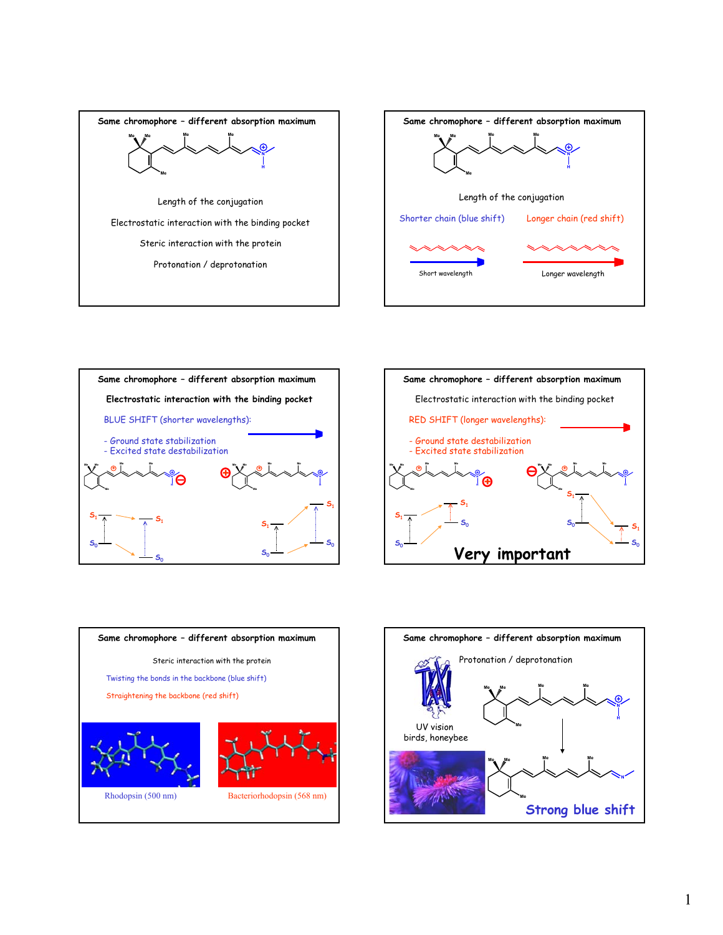









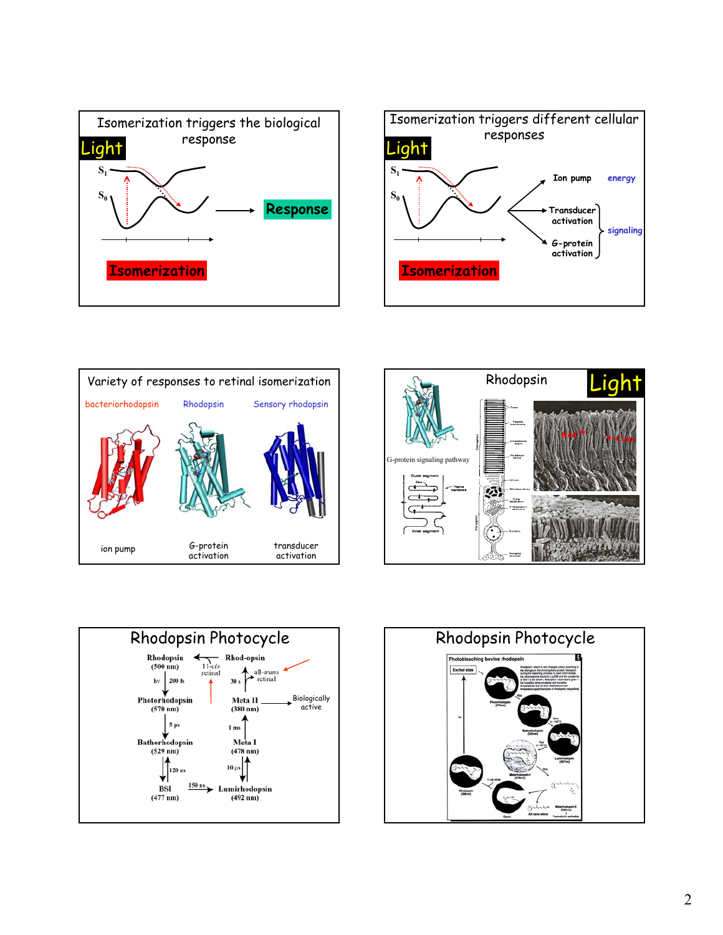









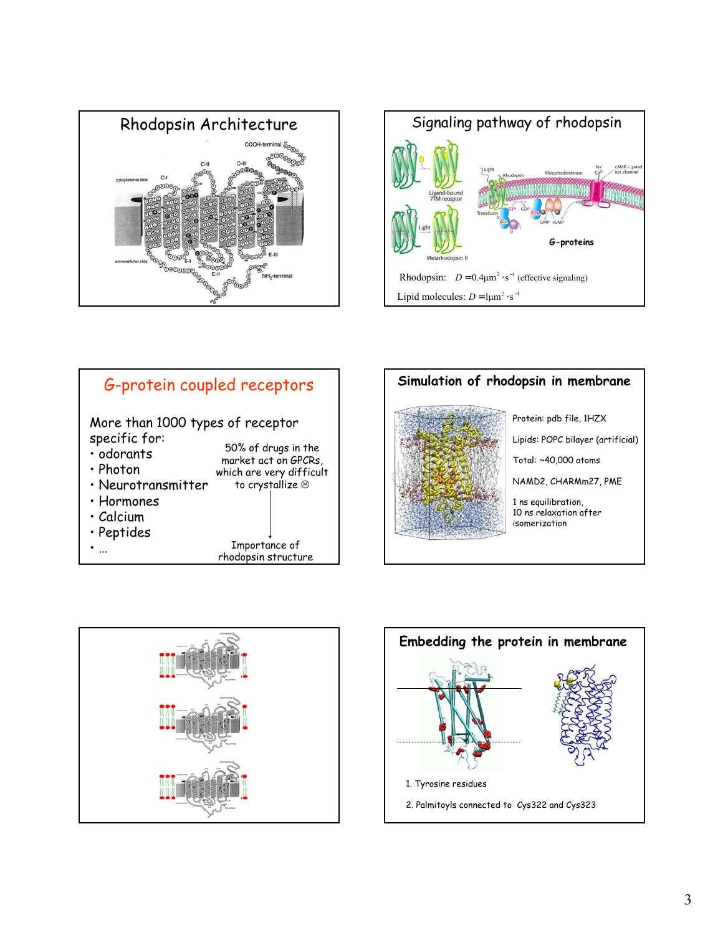









Protein: pdb file, 1HZX Lipids: POPC bilayer (artificial) Total: ~40,000 atoms NAMD2, CHARMm27, PME 1 ns equilibration, 10 ns relaxation after isomerization



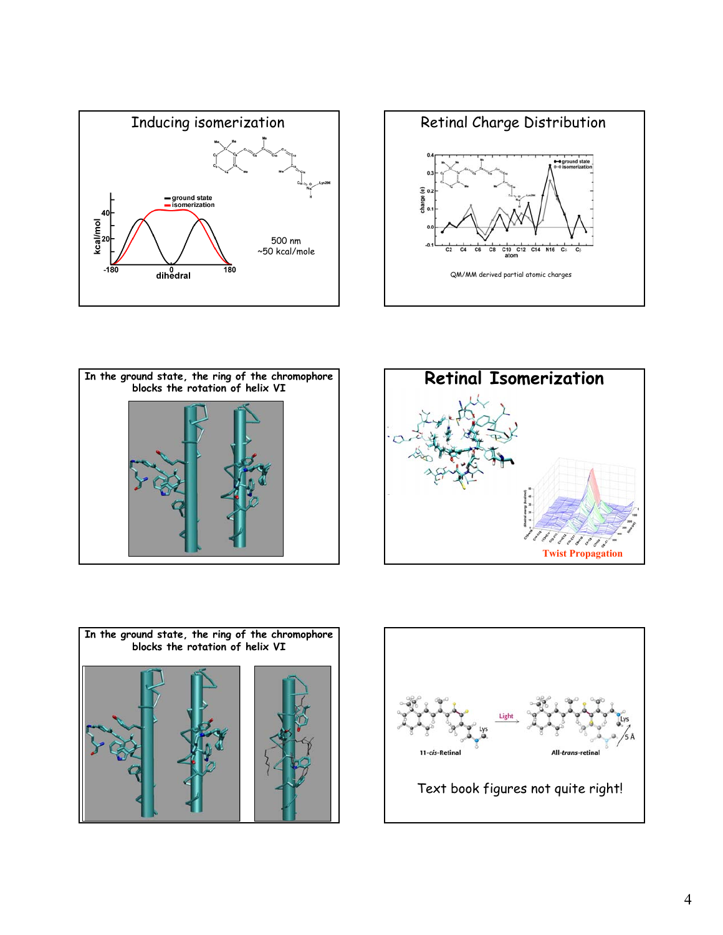